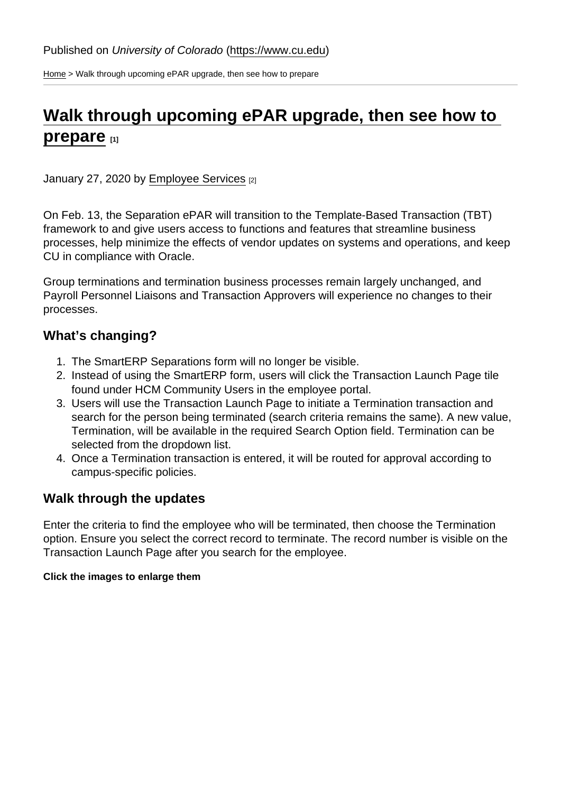[Home](https://www.cu.edu/) > Walk through upcoming ePAR upgrade, then see how to prepare

# [Walk through upcoming ePAR upgrade, then see how to](https://www.cu.edu/blog/hcm-community/walk-through-upcoming-epar-upgrade-then-see-how-prepare)  [prepare](https://www.cu.edu/blog/hcm-community/walk-through-upcoming-epar-upgrade-then-see-how-prepare) [1]

January 27, 2020 by [Employee Services](https://www.cu.edu/blog/hcm-community/author/10695) [2]

On Feb. 13, the Separation ePAR will transition to the Template-Based Transaction (TBT) framework to and give users access to functions and features that streamline business processes, help minimize the effects of vendor updates on systems and operations, and keep CU in compliance with Oracle.

Group terminations and termination business processes remain largely unchanged, and Payroll Personnel Liaisons and Transaction Approvers will experience no changes to their processes.

#### What's changing?

- 1. The SmartERP Separations form will no longer be visible.
- 2. Instead of using the SmartERP form, users will click the Transaction Launch Page tile found under HCM Community Users in the employee portal.
- 3. Users will use the Transaction Launch Page to initiate a Termination transaction and search for the person being terminated (search criteria remains the same). A new value, Termination, will be available in the required Search Option field. Termination can be selected from the dropdown list.
- 4. Once a Termination transaction is entered, it will be routed for approval according to campus-specific policies.

#### Walk through the updates

Enter the criteria to find the employee who will be terminated, then choose the Termination option. Ensure you select the correct record to terminate. The record number is visible on the Transaction Launch Page after you search for the employee.

Click the images to enlarge them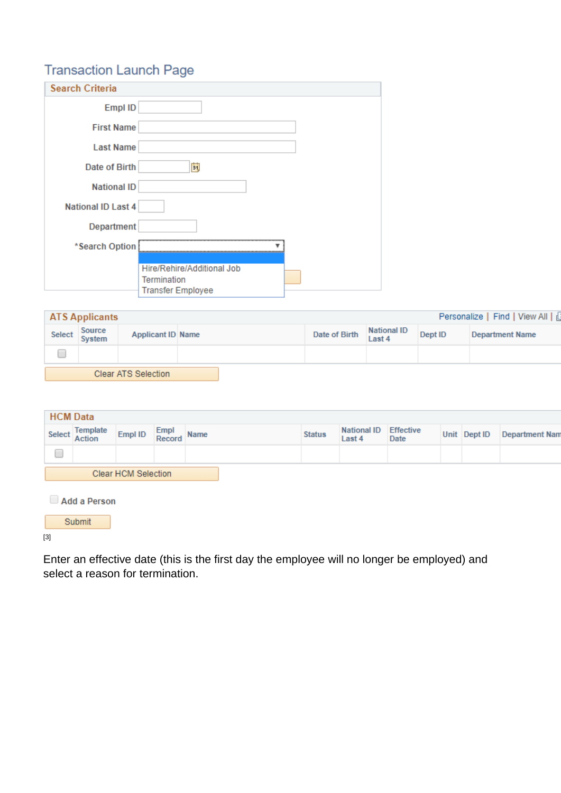[3]

Enter an effective date (this is the first day the employee will no longer be employed) and select a reason for termination.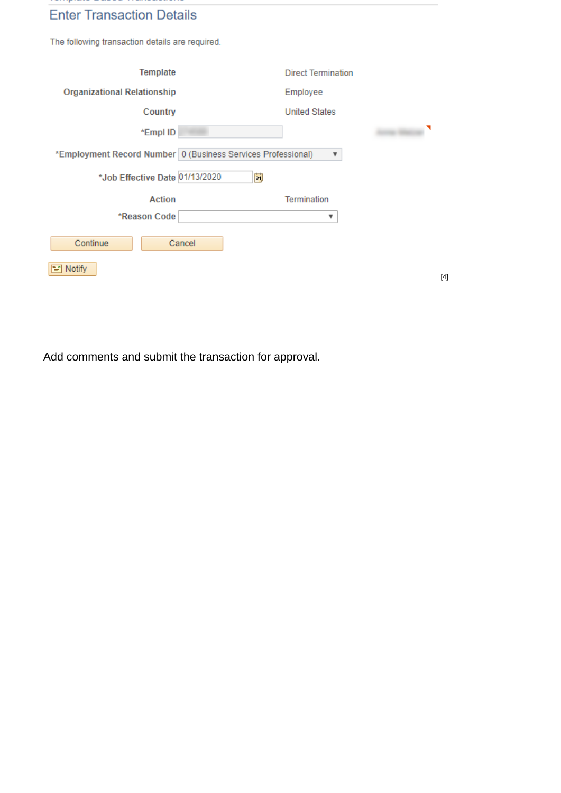Add comments and submit the transaction for approval.

[4]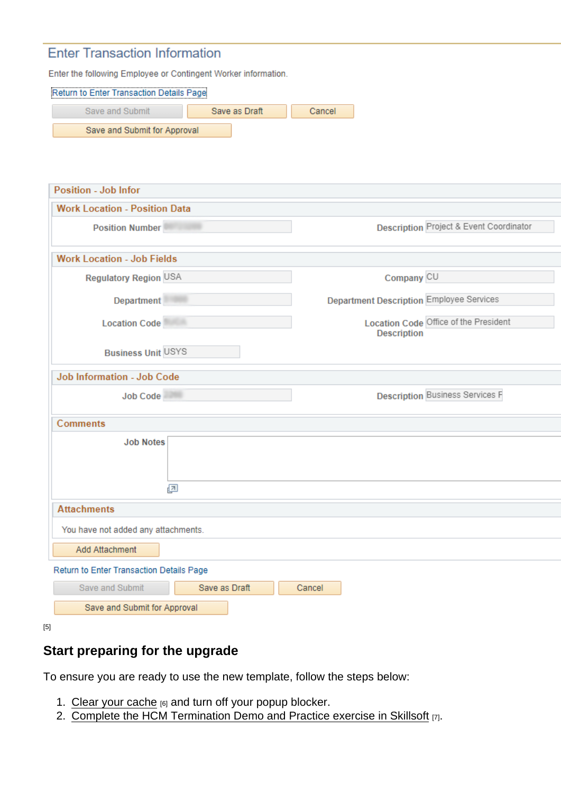[5]

## Start preparing for the upgrade

To ensure you are ready to use the new template, follow the steps below:

- 1. [Clear your cache](https://www.cu.edu/doc/hcmjaid-pop-blockers-cachepdf-1)  $[6]$  and turn off your popup blocker.
- 2. [Complete the HCM Termination Demo and Practice exercise in Skillsoft](http://universityofcolorado.skillport.com/skillportfe/custom/login/saml/login.action?courseaction=launch&assetid=_scorm12_cu_hcm_demo_termtbt_0001) [7].